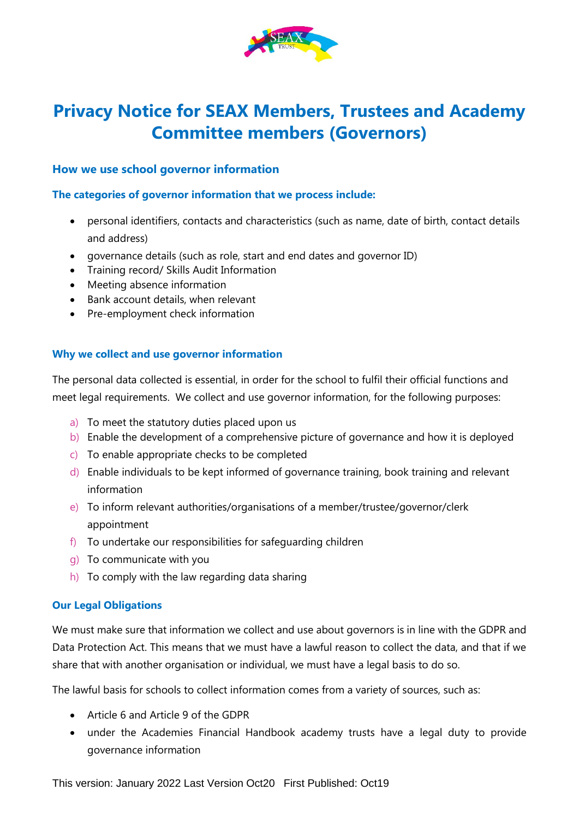

# **Privacy Notice for SEAX Members, Trustees and Academy Committee members (Governors)**

## **How we use school governor information**

## **The categories of governor information that we process include:**

- personal identifiers, contacts and characteristics (such as name, date of birth, contact details and address)
- governance details (such as role, start and end dates and governor ID)
- Training record/ Skills Audit Information
- Meeting absence information
- Bank account details, when relevant
- Pre-employment check information

## **Why we collect and use governor information**

The personal data collected is essential, in order for the school to fulfil their official functions and meet legal requirements. We collect and use governor information, for the following purposes:

- a) To meet the statutory duties placed upon us
- b) Enable the development of a comprehensive picture of governance and how it is deployed
- c) To enable appropriate checks to be completed
- d) Enable individuals to be kept informed of governance training, book training and relevant information
- e) To inform relevant authorities/organisations of a member/trustee/governor/clerk appointment
- f) To undertake our responsibilities for safeguarding children
- g) To communicate with you
- h) To comply with the law regarding data sharing

#### **Our Legal Obligations**

We must make sure that information we collect and use about governors is in line with the GDPR and Data Protection Act. This means that we must have a lawful reason to collect the data, and that if we share that with another organisation or individual, we must have a legal basis to do so.

The lawful basis for schools to collect information comes from a variety of sources, such as:

- Article 6 and Article 9 of the GDPR
- under the Academies Financial Handbook academy trusts have a legal duty to provide governance information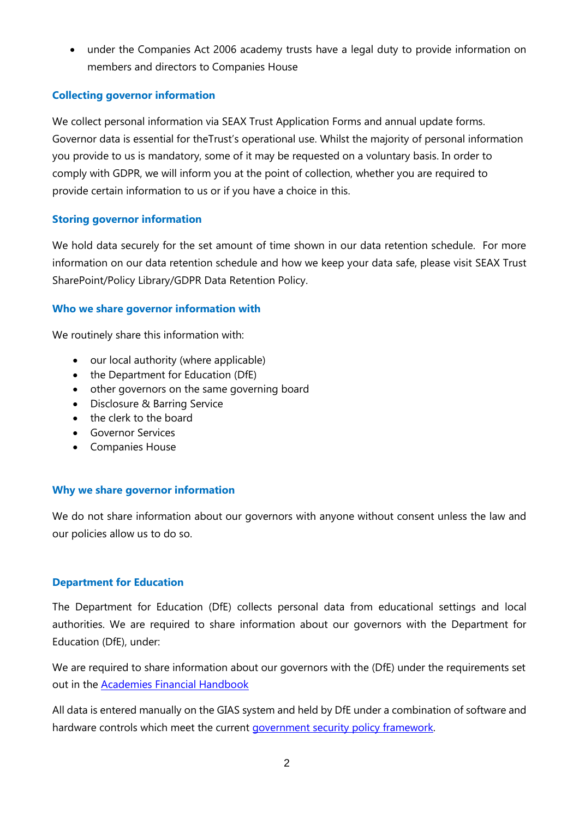• under the Companies Act 2006 academy trusts have a legal duty to provide information on members and directors to Companies House

## **Collecting governor information**

We collect personal information via SEAX Trust Application Forms and annual update forms. Governor data is essential for theTrust's operational use. Whilst the majority of personal information you provide to us is mandatory, some of it may be requested on a voluntary basis. In order to comply with GDPR, we will inform you at the point of collection, whether you are required to provide certain information to us or if you have a choice in this.

## **Storing governor information**

We hold data securely for the set amount of time shown in our data retention schedule. For more information on our data retention schedule and how we keep your data safe, please visit SEAX Trust SharePoint/Policy Library/GDPR Data Retention Policy.

## **Who we share governor information with**

We routinely share this information with:

- our local authority (where applicable)
- the Department for Education (DfE)
- other governors on the same governing board
- Disclosure & Barring Service
- the clerk to the board
- Governor Services
- Companies House

# **Why we share governor information**

We do not share information about our governors with anyone without consent unless the law and our policies allow us to do so.

# **Department for Education**

The Department for Education (DfE) collects personal data from educational settings and local authorities. We are required to share information about our governors with the Department for Education (DfE), under:

We are required to share information about our governors with the (DfE) under the requirements set out in the [Academies Financial Handbook](https://www.gov.uk/government/publications/academies-financial-handbook) 

All data is entered manually on the GIAS system and held by DfE under a combination of software and hardware controls which meet the current [government security policy framework.](https://www.gov.uk/government/publications/security-policy-framework)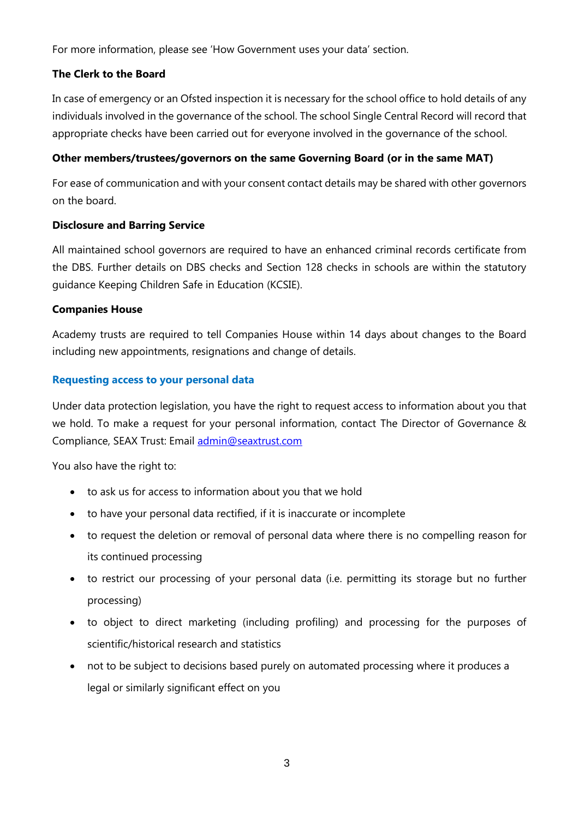For more information, please see 'How Government uses your data' section.

#### **The Clerk to the Board**

In case of emergency or an Ofsted inspection it is necessary for the school office to hold details of any individuals involved in the governance of the school. The school Single Central Record will record that appropriate checks have been carried out for everyone involved in the governance of the school.

#### **Other members/trustees/governors on the same Governing Board (or in the same MAT)**

For ease of communication and with your consent contact details may be shared with other governors on the board.

#### **Disclosure and Barring Service**

All maintained school governors are required to have an enhanced criminal records certificate from the DBS. Further details on DBS checks and Section 128 checks in schools are within the statutory guidance Keeping Children Safe in Education (KCSIE).

#### **Companies House**

Academy trusts are required to tell Companies House within 14 days about changes to the Board including new appointments, resignations and change of details.

#### **Requesting access to your personal data**

Under data protection legislation, you have the right to request access to information about you that we hold. To make a request for your personal information, contact The Director of Governance & Compliance, SEAX Trust: Email [admin@seaxtrust.com](mailto:admin@seaxtrust.com)

You also have the right to:

- to ask us for access to information about you that we hold
- to have your personal data rectified, if it is inaccurate or incomplete
- to request the deletion or removal of personal data where there is no compelling reason for its continued processing
- to restrict our processing of your personal data (i.e. permitting its storage but no further processing)
- to object to direct marketing (including profiling) and processing for the purposes of scientific/historical research and statistics
- not to be subject to decisions based purely on automated processing where it produces a legal or similarly significant effect on you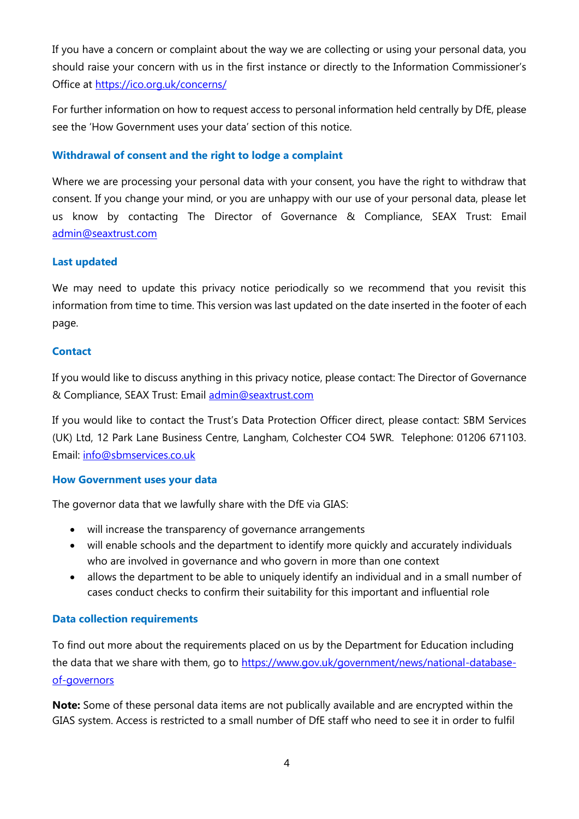If you have a concern or complaint about the way we are collecting or using your personal data, you should raise your concern with us in the first instance or directly to the Information Commissioner's Office at<https://ico.org.uk/concerns/>

For further information on how to request access to personal information held centrally by DfE, please see the 'How Government uses your data' section of this notice.

## **Withdrawal of consent and the right to lodge a complaint**

Where we are processing your personal data with your consent, you have the right to withdraw that consent. If you change your mind, or you are unhappy with our use of your personal data, please let us know by contacting The Director of Governance & Compliance, SEAX Trust: Email [admin@seaxtrust.com](mailto:admin@seaxtrust.com)

## **Last updated**

We may need to update this privacy notice periodically so we recommend that you revisit this information from time to time. This version was last updated on the date inserted in the footer of each page.

## **Contact**

If you would like to discuss anything in this privacy notice, please contact: The Director of Governance & Compliance, SEAX Trust: Email [admin@seaxtrust.com](mailto:admin@seaxtrust.com)

If you would like to contact the Trust's Data Protection Officer direct, please contact: SBM Services (UK) Ltd, 12 Park Lane Business Centre, Langham, Colchester CO4 5WR. Telephone: 01206 671103. Email: [info@sbmservices.co.uk](mailto:info@sbmservices.co.uk) 

## **How Government uses your data**

The governor data that we lawfully share with the DfE via GIAS:

- will increase the transparency of governance arrangements
- will enable schools and the department to identify more quickly and accurately individuals who are involved in governance and who govern in more than one context
- allows the department to be able to uniquely identify an individual and in a small number of cases conduct checks to confirm their suitability for this important and influential role

#### **Data collection requirements**

To find out more about the requirements placed on us by the Department for Education including the data that we share with them, go to [https://www.gov.uk/government/news/national-database](https://www.gov.uk/government/news/national-database-of-governors)[of-governors](https://www.gov.uk/government/news/national-database-of-governors)

**Note:** Some of these personal data items are not publically available and are encrypted within the GIAS system. Access is restricted to a small number of DfE staff who need to see it in order to fulfil